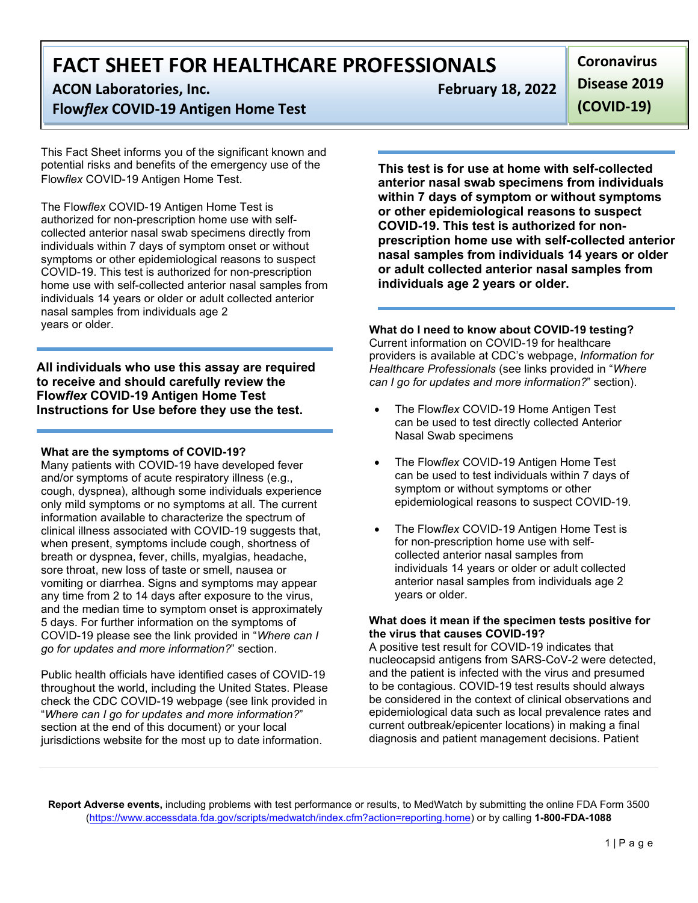**FACT SHEET FOR HEALTHCARE PROFESSIONALS** 

 **ACON Laboratories, Inc.** The Contract of the Red February 18, 2022

## **Flow***flex* **COVID-19 Antigen Home Test**

This Fact Sheet informs you of the significant known and potential risks and benefits of the emergency use of the Flow*flex* COVID-19 Antigen Home Test.

 individuals within 7 days of symptom onset or without nasal samples from individuals age 2<br>years or older. The Flow*flex* COVID-19 Antigen Home Test is authorized for non-prescription home use with selfcollected anterior nasal swab specimens directly from symptoms or other epidemiological reasons to suspect COVID-19. This test is authorized for non-prescription home use with self-collected anterior nasal samples from individuals 14 years or older or adult collected anterior

**All individuals who use this assay are required to receive and should carefully review the Flow***flex* **COVID-19 Antigen Home Test Instructions for Use before they use the test.** 

### **What are the symptoms of COVID-19?**

Many patients with COVID-19 have developed fever and/or symptoms of acute respiratory illness (e.g., cough, dyspnea), although some individuals experience only mild symptoms or no symptoms at all. The current information available to characterize the spectrum of clinical illness associated with COVID-19 suggests that, when present, symptoms include cough, shortness of breath or dyspnea, fever, chills, myalgias, headache, sore throat, new loss of taste or smell, nausea or vomiting or diarrhea. Signs and symptoms may appear any time from 2 to 14 days after exposure to the virus, and the median time to symptom onset is approximately 5 days. For further information on the symptoms of COVID-19 please see the link provided in "*Where can I go for updates and more information?*" section.

Public health officials have identified cases of COVID-19 throughout the world, including the United States. Please check the CDC COVID-19 webpage (see link provided in "*Where can I go for updates and more information?*" section at the end of this document) or your local jurisdictions website for the most up to date information.

**Coronavirus Disease 2019 (COVID-19)** 

 **This test is for use at home with self-collected anterior nasal swab specimens from individuals within 7 days of symptom or without symptoms or other epidemiological reasons to suspect COVID-19. This test is authorized for nonprescription home use with self-collected anterior nasal samples from individuals 14 years or older or adult collected anterior nasal samples from individuals age 2 years or older.** 

#### **What do I need to know about COVID-19 testing?** Current information on COVID-19 for healthcare providers is available at CDC's webpage, *Information for*

 *can I go for updates and more information?*" section). *Healthcare Professionals* (see links provided in "*Where* 

- can be used to test directly collected Anterior • The Flow*flex* COVID-19 Home Antigen Test Nasal Swab specimens
- The Flow*flex* COVID-19 Antigen Home Test can be used to test individuals within 7 days of symptom or without symptoms or other epidemiological reasons to suspect COVID-19.
- • The Flow*flex* COVID-19 Antigen Home Test is for non-prescription home use with selfcollected anterior nasal samples from individuals 14 years or older or adult collected anterior nasal samples from individuals age 2 years or older.

### **What does it mean if the specimen tests positive for the virus that causes COVID-19?**

A positive test result for COVID-19 indicates that nucleocapsid antigens from SARS-CoV-2 were detected, and the patient is infected with the virus and presumed to be contagious. COVID-19 test results should always be considered in the context of clinical observations and epidemiological data such as local prevalence rates and current outbreak/epicenter locations) in making a final diagnosis and patient management decisions. Patient

 **Report Adverse events,** including problems with test performance or results, to MedWatch by submitting the online FDA Form 3500 [\(https://www.accessdata.fda.gov/scripts/medwatch/index.cfm?action=reporting.home\)](https://www.accessdata.fda.gov/scripts/medwatch/index.cfm?action=reporting.home) or by calling **1-800-FDA-1088**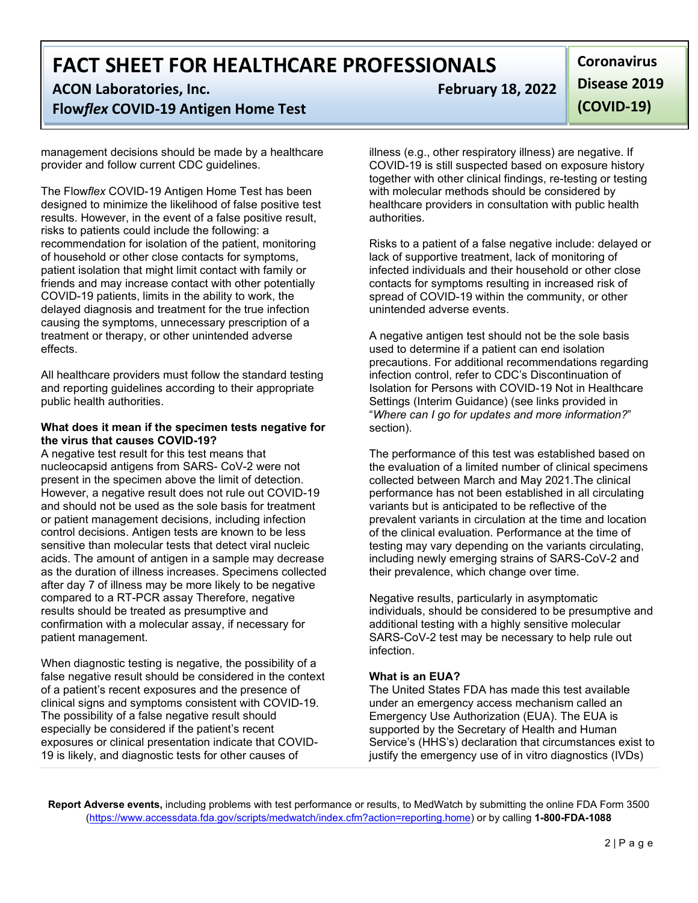**FACT SHEET FOR HEALTHCARE PROFESSIONALS** 

 **ACON Laboratories, Inc.** The Contract of the Red February 18, 2022

## **Flow***flex* **COVID-19 Antigen Home Test**

 management decisions should be made by a healthcare provider and follow current CDC guidelines.

 patient isolation that might limit contact with family or friends and may increase contact with other potentially The Flow*flex* COVID-19 Antigen Home Test has been designed to minimize the likelihood of false positive test results. However, in the event of a false positive result, risks to patients could include the following: a recommendation for isolation of the patient, monitoring of household or other close contacts for symptoms, COVID-19 patients, limits in the ability to work, the delayed diagnosis and treatment for the true infection causing the symptoms, unnecessary prescription of a treatment or therapy, or other unintended adverse effects.

All healthcare providers must follow the standard testing and reporting guidelines according to their appropriate public health authorities.

### **What does it mean if the specimen tests negative for the virus that causes COVID-19?**

 present in the specimen above the limit of detection. or patient management decisions, including infection control decisions. Antigen tests are known to be less A negative test result for this test means that nucleocapsid antigens from SARS- CoV-2 were not However, a negative result does not rule out COVID-19 and should not be used as the sole basis for treatment sensitive than molecular tests that detect viral nucleic acids. The amount of antigen in a sample may decrease as the duration of illness increases. Specimens collected after day 7 of illness may be more likely to be negative compared to a RT-PCR assay Therefore, negative results should be treated as presumptive and confirmation with a molecular assay, if necessary for patient management.

 When diagnostic testing is negative, the possibility of a false negative result should be considered in the context of a patient's recent exposures and the presence of clinical signs and symptoms consistent with COVID-19. The possibility of a false negative result should especially be considered if the patient's recent exposures or clinical presentation indicate that COVID-19 is likely, and diagnostic tests for other causes of

**Coronavirus Disease 2019 (COVID-19)** 

illness (e.g., other respiratory illness) are negative. If COVID-19 is still suspected based on exposure history together with other clinical findings, re-testing or testing with molecular methods should be considered by healthcare providers in consultation with public health authorities.

 spread of COVID-19 within the community, or other Risks to a patient of a false negative include: delayed or lack of supportive treatment, lack of monitoring of infected individuals and their household or other close contacts for symptoms resulting in increased risk of unintended adverse events.

 precautions. For additional recommendations regarding A negative antigen test should not be the sole basis used to determine if a patient can end isolation infection control, refer to CDC's Discontinuation of Isolation for Persons with COVID-19 Not in Healthcare Settings (Interim Guidance) (see links provided in "*Where can I go for updates and more information?*" section).

 collected between March and May 2021.The clinical The performance of this test was established based on the evaluation of a limited number of clinical specimens performance has not been established in all circulating variants but is anticipated to be reflective of the prevalent variants in circulation at the time and location of the clinical evaluation. Performance at the time of testing may vary depending on the variants circulating, including newly emerging strains of SARS-CoV-2 and their prevalence, which change over time.

Negative results, particularly in asymptomatic individuals, should be considered to be presumptive and additional testing with a highly sensitive molecular SARS-CoV-2 test may be necessary to help rule out infection.

### **What is an EUA?**

The United States FDA has made this test available under an emergency access mechanism called an Emergency Use Authorization (EUA). The EUA is supported by the Secretary of Health and Human Service's (HHS's) declaration that circumstances exist to justify the emergency use of in vitro diagnostics (IVDs)

 **Report Adverse events,** including problems with test performance or results, to MedWatch by submitting the online FDA Form 3500 [\(https://www.accessdata.fda.gov/scripts/medwatch/index.cfm?action=reporting.home\)](https://www.accessdata.fda.gov/scripts/medwatch/index.cfm?action=reporting.home) or by calling **1-800-FDA-1088**